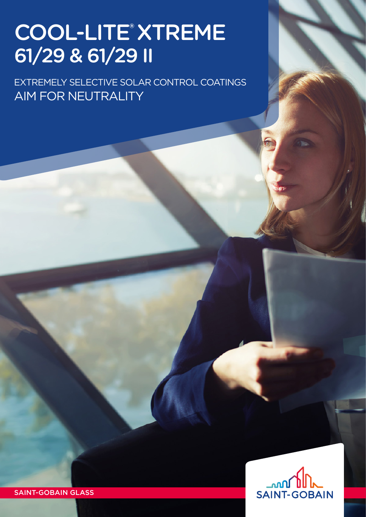# COOL-LITE® XTREME 61/29 & 61/29 II

EXTREMEly selective solar control coatings AIM FOR NEUTRALITY



SAINT-GOBAIN GLASS